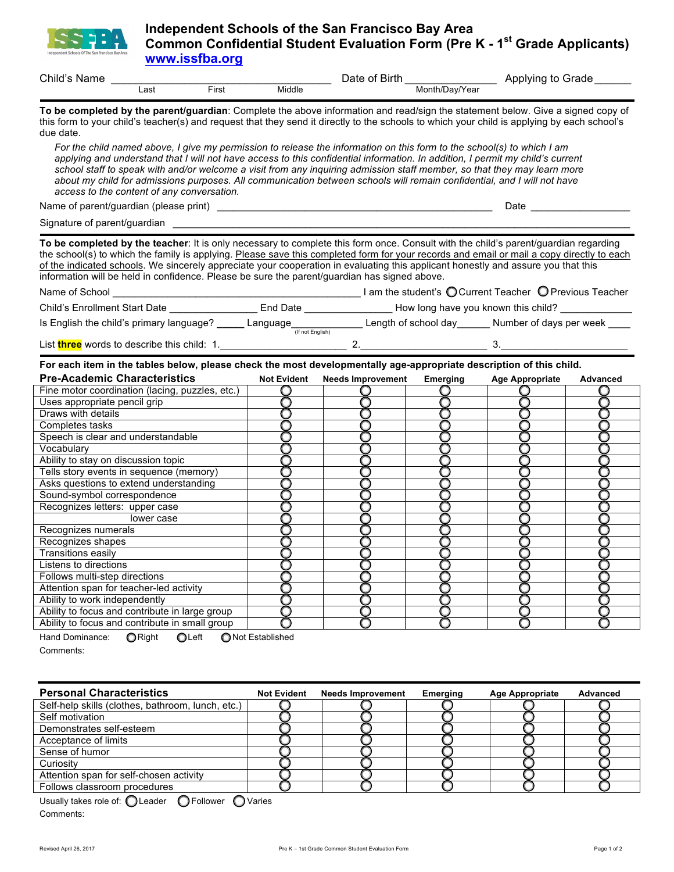

## **Independent Schools of the San Francisco Bay Area Common Confidential Student Evaluation Form (Pre K - 1<sup>st</sup> Grade Applicants) www.issfba.org**

| Child's<br>Name |           |                 |             | Birth<br>⊃ar<br>Ωt     | Grade<br>Applvina<br>tΟ |
|-----------------|-----------|-----------------|-------------|------------------------|-------------------------|
|                 | Last<br>. | $F$ irst<br>$-$ | Middle<br>. | Month/Dav/Year<br>$ -$ |                         |

**To be completed by the parent/guardian**: Complete the above information and read/sign the statement below. Give a signed copy of this form to your child's teacher(s) and request that they send it directly to the schools to which your child is applying by each school's due date.

*For the child named above, I give my permission to release the information on this form to the school(s) to which I am applying and understand that I will not have access to this confidential information. In addition, I permit my child's current school staff to speak with and/or welcome a visit from any inquiring admission staff member, so that they may learn more*  about my child for admissions purposes. All communication between schools will remain confidential, and I will not have *access to the content of any conversation.*

Name of parent/guardian (please print) \_\_\_\_\_\_\_\_\_\_\_\_\_\_\_\_\_\_\_\_\_\_\_\_\_\_\_\_\_\_\_\_\_\_\_\_\_\_\_\_\_\_\_\_\_\_\_\_\_\_ Date \_\_\_\_\_\_\_\_\_\_\_\_\_\_\_\_\_\_

Signature of parent/guardian

**To be completed by the teacher**: It is only necessary to complete this form once. Consult with the child's parent/guardian regarding the school(s) to which the family is applying. Please save this completed form for your records and email or mail a copy directly to each of the indicated schools. We sincerely appreciate your cooperation in evaluating this applicant honestly and assure you that this information will be held in confidence. Please be sure the parent/guardian has signed above.

| Name of School                           |                              |                      | I am the student's O Current Teacher O Previous Teacher |
|------------------------------------------|------------------------------|----------------------|---------------------------------------------------------|
| <b>Child's Enrollment Start Date</b>     | End Date                     |                      | How long have you known this child?                     |
| Is English the child's primary language? | Language<br>(If not English) | Length of school day | Number of days per week                                 |

List three words to describe this child: 1. **2. 2. 2. 2. 3.** 

**For each item in the tables below, please check the most developmentally age-appropriate description of this child.**

| <b>Pre-Academic Characteristics</b>             | <b>Not Evident</b> | <b>Needs Improvement</b> | <b>Emerging</b> | <b>Age Appropriate</b> | <b>Advanced</b> |
|-------------------------------------------------|--------------------|--------------------------|-----------------|------------------------|-----------------|
| Fine motor coordination (lacing, puzzles, etc.) |                    |                          |                 |                        |                 |
| Uses appropriate pencil grip                    |                    |                          |                 |                        |                 |
| Draws with details                              |                    |                          |                 |                        |                 |
| Completes tasks                                 |                    |                          |                 |                        |                 |
| Speech is clear and understandable              |                    |                          |                 |                        |                 |
| Vocabularv                                      |                    |                          |                 |                        |                 |
| Ability to stay on discussion topic             |                    |                          |                 |                        |                 |
| Tells story events in sequence (memory)         |                    |                          |                 |                        |                 |
| Asks questions to extend understanding          |                    |                          |                 |                        |                 |
| Sound-symbol correspondence                     |                    |                          |                 |                        |                 |
| Recognizes letters: upper case                  |                    |                          |                 |                        |                 |
| lower case                                      |                    |                          |                 |                        |                 |
| Recognizes numerals                             |                    |                          |                 |                        |                 |
| Recognizes shapes                               |                    |                          |                 |                        |                 |
| Transitions easilv                              |                    |                          |                 |                        |                 |
| Listens to directions                           |                    |                          |                 |                        |                 |
| Follows multi-step directions                   |                    |                          |                 |                        |                 |
| Attention span for teacher-led activity         |                    |                          |                 |                        |                 |
| Ability to work independently                   |                    |                          |                 |                        |                 |
| Ability to focus and contribute in large group  |                    |                          |                 |                        |                 |
| Ability to focus and contribute in small group  |                    |                          |                 |                        |                 |

Hand Dominance: **O Right** O Left O Not Established  $\text{Comments:}\quad$ 

| <b>Personal Characteristics</b>                   | <b>Not Evident</b> | <b>Needs Improvement</b> | Emerging | <b>Age Appropriate</b> | Advanced |
|---------------------------------------------------|--------------------|--------------------------|----------|------------------------|----------|
| Self-help skills (clothes, bathroom, lunch, etc.) |                    |                          |          |                        |          |
| Self motivation                                   |                    |                          |          |                        |          |
| Demonstrates self-esteem                          |                    |                          |          |                        |          |
| Acceptance of limits                              |                    |                          |          |                        |          |
| Sense of humor                                    |                    |                          |          |                        |          |
| Curiosity                                         |                    |                          |          |                        |          |
| Attention span for self-chosen activity           |                    |                          |          |                        |          |
| Follows classroom procedures                      |                    |                          |          |                        |          |

Usually takes role of:  $\bigcirc$  Leader  $\bigcirc$  Follower  $\bigcirc$  Varies Comments: \_\_\_\_\_\_\_\_\_\_\_\_\_\_\_\_\_\_\_\_\_\_\_\_\_\_\_\_\_\_\_\_\_\_\_\_\_\_\_\_\_\_\_\_\_\_\_\_\_\_\_\_\_\_\_\_\_\_\_\_\_\_\_\_\_\_\_\_\_\_\_\_\_\_\_\_\_\_\_\_\_\_\_\_\_\_\_\_\_\_\_\_\_\_\_\_\_\_\_\_\_\_\_\_\_\_\_\_\_\_